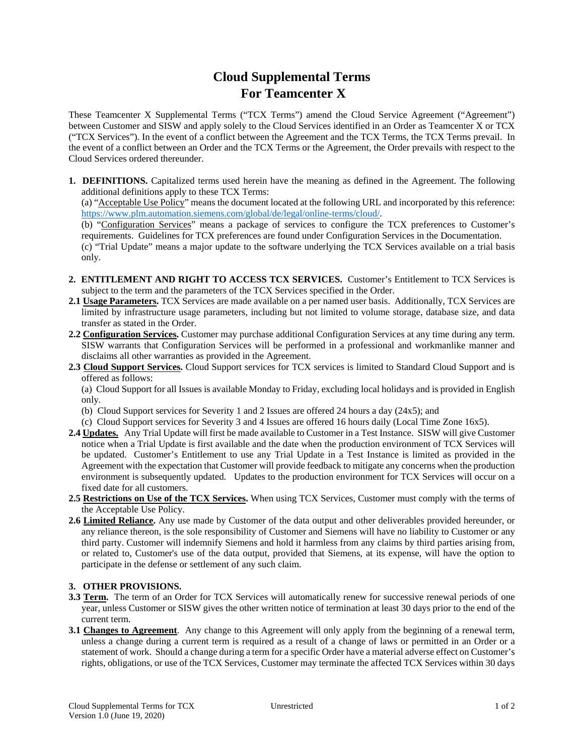## **Cloud Supplemental Terms For Teamcenter X**

These Teamcenter X Supplemental Terms ("TCX Terms") amend the Cloud Service Agreement ("Agreement") between Customer and SISW and apply solely to the Cloud Services identified in an Order as Teamcenter X or TCX ("TCX Services"). In the event of a conflict between the Agreement and the TCX Terms, the TCX Terms prevail. In the event of a conflict between an Order and the TCX Terms or the Agreement, the Order prevails with respect to the Cloud Services ordered thereunder.

**1. DEFINITIONS.** Capitalized terms used herein have the meaning as defined in the Agreement. The following additional definitions apply to these TCX Terms:

(a) "Acceptable Use Policy" means the document located at the following URL and incorporated by this reference: https://www.plm.automation.siemens.com/global/de/legal/online-terms/cloud/.

(b) "Configuration Services" means a package of services to configure the TCX preferences to Customer's requirements. Guidelines for TCX preferences are found under Configuration Services in the Documentation.

(c) "Trial Update" means a major update to the software underlying the TCX Services available on a trial basis only.

- **2. ENTITLEMENT AND RIGHT TO ACCESS TCX SERVICES.** Customer's Entitlement to TCX Services is subject to the term and the parameters of the TCX Services specified in the Order.
- **2.1 Usage Parameters.** TCX Services are made available on a per named user basis. Additionally, TCX Services are limited by infrastructure usage parameters, including but not limited to volume storage, database size, and data transfer as stated in the Order.
- **2.2 Configuration Services.** Customer may purchase additional Configuration Services at any time during any term. SISW warrants that Configuration Services will be performed in a professional and workmanlike manner and disclaims all other warranties as provided in the Agreement.
- **2.3 Cloud Support Services.** Cloud Support services for TCX services is limited to Standard Cloud Support and is offered as follows:

(a) Cloud Support for all Issues is available Monday to Friday, excluding local holidays and is provided in English only.

- (b) Cloud Support services for Severity 1 and 2 Issues are offered 24 hours a day (24x5); and
- (c) Cloud Support services for Severity 3 and 4 Issues are offered 16 hours daily (Local Time Zone 16x5).
- **2.4 Updates.** Any Trial Update will first be made available to Customer in a Test Instance. SISW will give Customer notice when a Trial Update is first available and the date when the production environment of TCX Services will be updated. Customer's Entitlement to use any Trial Update in a Test Instance is limited as provided in the Agreement with the expectation that Customer will provide feedback to mitigate any concerns when the production environment is subsequently updated. Updates to the production environment for TCX Services will occur on a fixed date for all customers.
- **2.5 Restrictions on Use of the TCX Services.** When using TCX Services, Customer must comply with the terms of the Acceptable Use Policy.
- **2.6 Limited Reliance.** Any use made by Customer of the data output and other deliverables provided hereunder, or any reliance thereon, is the sole responsibility of Customer and Siemens will have no liability to Customer or any third party. Customer will indemnify Siemens and hold it harmless from any claims by third parties arising from, or related to, Customer's use of the data output, provided that Siemens, at its expense, will have the option to participate in the defense or settlement of any such claim.

## **3. OTHER PROVISIONS.**

- **3.3 Term.** The term of an Order for TCX Services will automatically renew for successive renewal periods of one year, unless Customer or SISW gives the other written notice of termination at least 30 days prior to the end of the current term.
- **3.1 Changes to Agreement**. Any change to this Agreement will only apply from the beginning of a renewal term, unless a change during a current term is required as a result of a change of laws or permitted in an Order or a statement of work. Should a change during a term for a specific Order have a material adverse effect on Customer's rights, obligations, or use of the TCX Services, Customer may terminate the affected TCX Services within 30 days